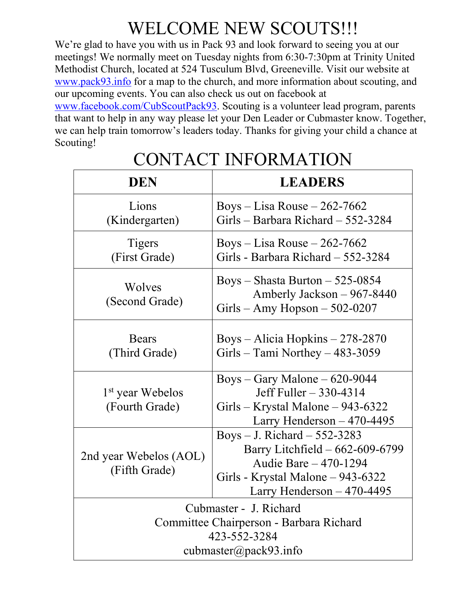## WELCOME NEW SCOUTS!!!

We're glad to have you with us in Pack 93 and look forward to seeing you at our meetings! We normally meet on Tuesday nights from 6:30-7:30pm at Trinity United Methodist Church, located at 524 Tusculum Blvd, Greeneville. Visit our website at [www.pack93.info](http://www.pack93.info/) for a map to the church, and more information about scouting, and our upcoming events. You can also check us out on facebook at

[www.facebook.com/CubScoutPack93.](http://www.facebook.com/CubScoutPack93) Scouting is a volunteer lead program, parents that want to help in any way please let your Den Leader or Cubmaster know. Together, we can help train tomorrow's leaders today. Thanks for giving your child a chance at Scouting!

| <b>DEN</b>                                                                                                 | <b>LEADERS</b>                                                                                                                                                   |
|------------------------------------------------------------------------------------------------------------|------------------------------------------------------------------------------------------------------------------------------------------------------------------|
| Lions<br>(Kindergarten)                                                                                    | Boys – Lisa Rouse – 262-7662<br>Girls – Barbara Richard – 552-3284                                                                                               |
| <b>Tigers</b><br>(First Grade)                                                                             | Boys – Lisa Rouse – 262-7662<br>Girls - Barbara Richard - 552-3284                                                                                               |
| Wolves<br>(Second Grade)                                                                                   | Boys – Shasta Burton – 525-0854<br>Amberly Jackson – 967-8440<br>$Girls - Amy Hopson - 502-0207$                                                                 |
| <b>Bears</b><br>(Third Grade)                                                                              | Boys – Alicia Hopkins – $278-2870$<br>Girls – Tami Northey – $483-3059$                                                                                          |
| 1 <sup>st</sup> year Webelos<br>(Fourth Grade)                                                             | Boys – Gary Malone – $620-9044$<br>Jeff Fuller - 330-4314<br>Girls – Krystal Malone – 943-6322<br>Larry Henderson $-470-4495$                                    |
| 2nd year Webelos (AOL)<br>(Fifth Grade)                                                                    | Boys $-$ J. Richard $-$ 552-3283<br>Barry Litchfield - 662-609-6799<br>Audie Bare - 470-1294<br>Girls - Krystal Malone – 943-6322<br>Larry Henderson $-470-4495$ |
| Cubmaster - J. Richard<br>Committee Chairperson - Barbara Richard<br>423-552-3284<br>cubmaster@pack93.info |                                                                                                                                                                  |

# CONTACT INFORMATION